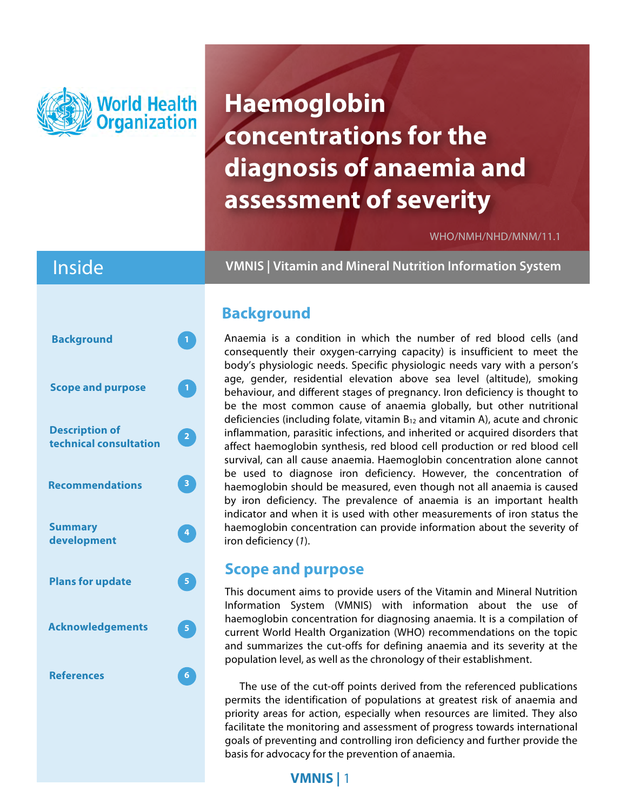

# **Haemoglobin concentrations for the diagnosis of anaemia and assessment of severity**

WHO/NMH/NHD/MNM/11.1

## Inside



**VMNIS | Vitamin and Mineral Nutrition Information System**

### **Background**

Anaemia is a condition in which the number of red blood cells (and consequently their oxygen-carrying capacity) is insufficient to meet the body's physiologic needs. Specific physiologic needs vary with a person's age, gender, residential elevation above sea level (altitude), smoking behaviour, and different stages of pregnancy. Iron deficiency is thought to be the most common cause of anaemia globally, but other nutritional deficiencies (including folate, vitamin  $B_{12}$  and vitamin A), acute and chronic inflammation, parasitic infections, and inherited or acquired disorders that affect haemoglobin synthesis, red blood cell production or red blood cell survival, can all cause anaemia. Haemoglobin concentration alone cannot be used to diagnose iron deficiency. However, the concentration of haemoglobin should be measured, even though not all anaemia is caused by iron deficiency. The prevalence of anaemia is an important health indicator and when it is used with other measurements of iron status the haemoglobin concentration can provide information about the severity of iron deficiency (*1*).

### **Scope and purpose**

This document aims to provide users of the Vitamin and Mineral Nutrition Information System (VMNIS) with information about the use of haemoglobin concentration for diagnosing anaemia. It is a compilation of current World Health Organization (WHO) recommendations on the topic and summarizes the cut-offs for defining anaemia and its severity at the population level, as well as the chronology of their establishment.

The use of the cut-off points derived from the referenced publications permits the identification of populations at greatest risk of anaemia and priority areas for action, especially when resources are limited. They also facilitate the monitoring and assessment of progress towards international goals of preventing and controlling iron deficiency and further provide the basis for advocacy for the prevention of anaemia.

### **VMNIS |** 1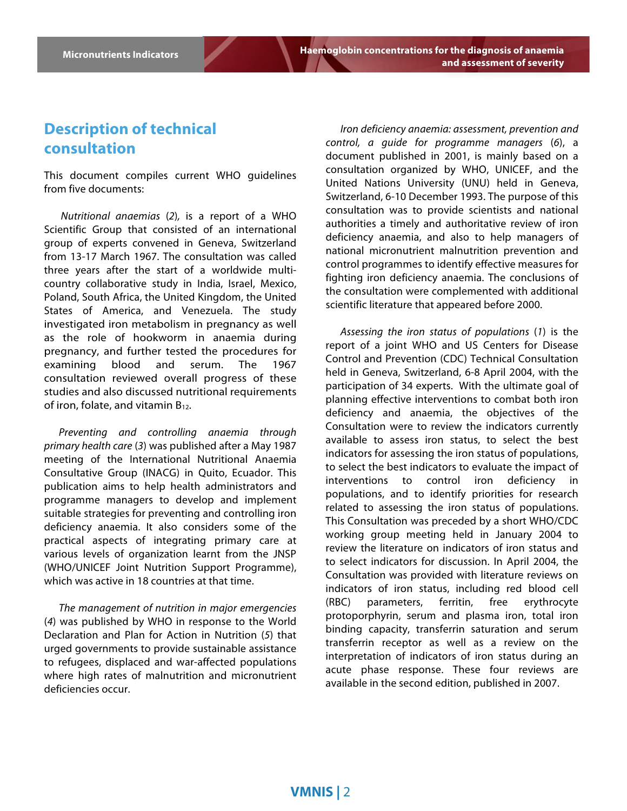### **Description of technical consultation**

This document compiles current WHO guidelines from five documents:

*Nutritional anaemias* (*2*)*,* is a report of a WHO Scientific Group that consisted of an international group of experts convened in Geneva, Switzerland from 13-17 March 1967. The consultation was called three years after the start of a worldwide multicountry collaborative study in India, Israel, Mexico, Poland, South Africa, the United Kingdom, the United States of America, and Venezuela. The study investigated iron metabolism in pregnancy as well as the role of hookworm in anaemia during pregnancy, and further tested the procedures for examining blood and serum. The 1967 consultation reviewed overall progress of these studies and also discussed nutritional requirements of iron, folate, and vitamin  $B_{12}$ .

*Preventing and controlling anaemia through primary health care* (*3*) was published after a May 1987 meeting of the International Nutritional Anaemia Consultative Group (INACG) in Quito, Ecuador. This publication aims to help health administrators and programme managers to develop and implement suitable strategies for preventing and controlling iron deficiency anaemia. It also considers some of the practical aspects of integrating primary care at various levels of organization learnt from the JNSP (WHO/UNICEF Joint Nutrition Support Programme), which was active in 18 countries at that time.

*The management of nutrition in major emergencies* (*4*) was published by WHO in response to the World Declaration and Plan for Action in Nutrition (*5*) that urged governments to provide sustainable assistance to refugees, displaced and war-affected populations where high rates of malnutrition and micronutrient deficiencies occur.

*Iron deficiency anaemia: assessment, prevention and control, a guide for programme managers* (*6*), a document published in 2001, is mainly based on a consultation organized by WHO, UNICEF, and the United Nations University (UNU) held in Geneva, Switzerland, 6-10 December 1993. The purpose of this consultation was to provide scientists and national authorities a timely and authoritative review of iron deficiency anaemia, and also to help managers of national micronutrient malnutrition prevention and control programmes to identify effective measures for fighting iron deficiency anaemia. The conclusions of the consultation were complemented with additional scientific literature that appeared before 2000.

*Assessing the iron status of populations* (*1*) is the report of a joint WHO and US Centers for Disease Control and Prevention (CDC) Technical Consultation held in Geneva, Switzerland, 6-8 April 2004, with the participation of 34 experts. With the ultimate goal of planning effective interventions to combat both iron deficiency and anaemia, the objectives of the Consultation were to review the indicators currently available to assess iron status, to select the best indicators for assessing the iron status of populations, to select the best indicators to evaluate the impact of interventions to control iron deficiency in populations, and to identify priorities for research related to assessing the iron status of populations. This Consultation was preceded by a short WHO/CDC working group meeting held in January 2004 to review the literature on indicators of iron status and to select indicators for discussion. In April 2004, the Consultation was provided with literature reviews on indicators of iron status, including red blood cell (RBC) parameters, ferritin, free erythrocyte protoporphyrin, serum and plasma iron, total iron binding capacity, transferrin saturation and serum transferrin receptor as well as a review on the interpretation of indicators of iron status during an acute phase response. These four reviews are available in the second edition, published in 2007.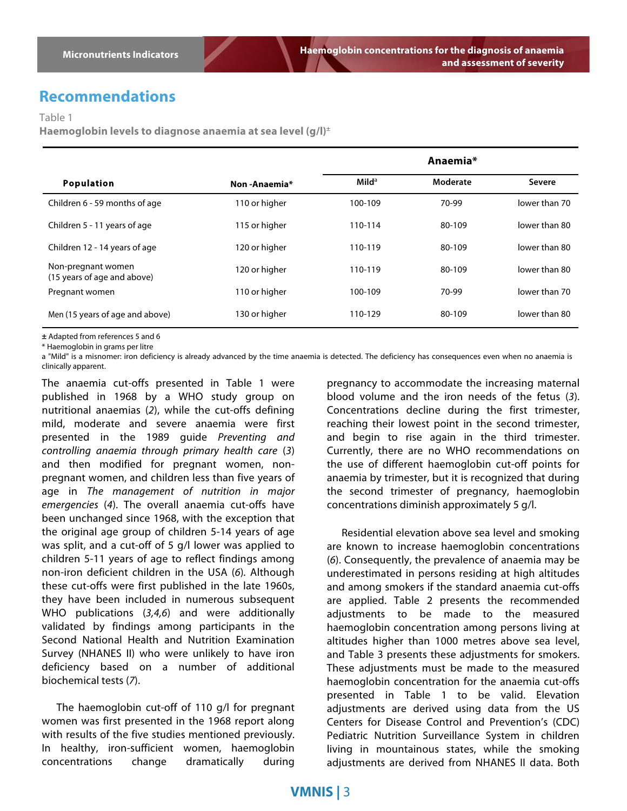### **Recommendations**

Table 1

**Haemoglobin levels to diagnose anaemia at sea level (g/l)±**

|                                                   |               |                   | Anaemia* |               |
|---------------------------------------------------|---------------|-------------------|----------|---------------|
| <b>Population</b>                                 | Non-Anaemia*  | Mild <sup>a</sup> | Moderate | Severe        |
| Children 6 - 59 months of age                     | 110 or higher | 100-109           | 70-99    | lower than 70 |
| Children 5 - 11 years of age                      | 115 or higher | 110-114           | 80-109   | lower than 80 |
| Children 12 - 14 years of age                     | 120 or higher | 110-119           | 80-109   | lower than 80 |
| Non-pregnant women<br>(15 years of age and above) | 120 or higher | 110-119           | 80-109   | lower than 80 |
| Pregnant women                                    | 110 or higher | 100-109           | 70-99    | lower than 70 |
| Men (15 years of age and above)                   | 130 or higher | 110-129           | 80-109   | lower than 80 |

**±** Adapted from references 5 and 6

\* Haemoglobin in grams per litre

a "Mild" is a misnomer: iron deficiency is already advanced by the time anaemia is detected. The deficiency has consequences even when no anaemia is clinically apparent.

The anaemia cut-offs presented in Table 1 were published in 1968 by a WHO study group on nutritional anaemias (*2*), while the cut-offs defining mild, moderate and severe anaemia were first presented in the 1989 guide *Preventing and controlling anaemia through primary health care* (*3*) and then modified for pregnant women, nonpregnant women, and children less than five years of age in *The management of nutrition in major emergencies* (*4*). The overall anaemia cut-offs have been unchanged since 1968, with the exception that the original age group of children 5-14 years of age was split, and a cut-off of 5 g/l lower was applied to children 5-11 years of age to reflect findings among non-iron deficient children in the USA (*6*)*.* Although these cut-offs were first published in the late 1960s, they have been included in numerous subsequent WHO publications (*3,4,6*) and were additionally validated by findings among participants in the Second National Health and Nutrition Examination Survey (NHANES II) who were unlikely to have iron deficiency based on a number of additional biochemical tests (*7*).

The haemoglobin cut-off of 110 g/l for pregnant women was first presented in the 1968 report along with results of the five studies mentioned previously. In healthy, iron-sufficient women, haemoglobin concentrations change dramatically during

pregnancy to accommodate the increasing maternal blood volume and the iron needs of the fetus (*3*). Concentrations decline during the first trimester, reaching their lowest point in the second trimester, and begin to rise again in the third trimester. Currently, there are no WHO recommendations on the use of different haemoglobin cut-off points for anaemia by trimester, but it is recognized that during the second trimester of pregnancy, haemoglobin concentrations diminish approximately 5 g/l.

Residential elevation above sea level and smoking are known to increase haemoglobin concentrations (*6*). Consequently, the prevalence of anaemia may be underestimated in persons residing at high altitudes and among smokers if the standard anaemia cut-offs are applied. Table 2 presents the recommended adjustments to be made to the measured haemoglobin concentration among persons living at altitudes higher than 1000 metres above sea level, and Table 3 presents these adjustments for smokers. These adjustments must be made to the measured haemoglobin concentration for the anaemia cut-offs presented in Table 1 to be valid. Elevation adjustments are derived using data from the US Centers for Disease Control and Prevention's (CDC) Pediatric Nutrition Surveillance System in children living in mountainous states, while the smoking adjustments are derived from NHANES II data. Both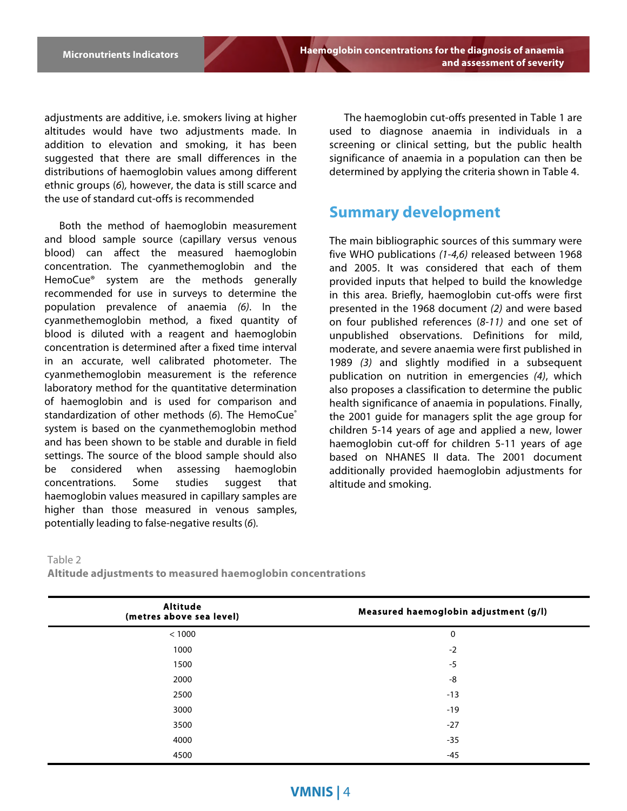adjustments are additive, i.e. smokers living at higher altitudes would have two adjustments made. In addition to elevation and smoking, it has been suggested that there are small differences in the distributions of haemoglobin values among different ethnic groups (*6*)*,* however, the data is still scarce and the use of standard cut-offs is recommended

Both the method of haemoglobin measurement and blood sample source (capillary versus venous blood) can affect the measured haemoglobin concentration. The cyanmethemoglobin and the HemoCue® system are the methods generally recommended for use in surveys to determine the population prevalence of anaemia *(6)*. In the cyanmethemoglobin method, a fixed quantity of blood is diluted with a reagent and haemoglobin concentration is determined after a fixed time interval in an accurate, well calibrated photometer. The cyanmethemoglobin measurement is the reference laboratory method for the quantitative determination of haemoglobin and is used for comparison and standardization of other methods (6). The HemoCue<sup>®</sup> system is based on the cyanmethemoglobin method and has been shown to be stable and durable in field settings. The source of the blood sample should also be considered when assessing haemoglobin concentrations. Some studies suggest that haemoglobin values measured in capillary samples are higher than those measured in venous samples, potentially leading to false-negative results(*6*)*.*

The haemoglobin cut-offs presented in Table 1 are used to diagnose anaemia in individuals in a screening or clinical setting, but the public health significance of anaemia in a population can then be determined by applying the criteria shown in Table 4.

### **Summary development**

The main bibliographic sources of this summary were five WHO publications *(1-4,6)* released between 1968 and 2005. It was considered that each of them provided inputs that helped to build the knowledge in this area. Briefly, haemoglobin cut-offs were first presented in the 1968 document *(2)* and were based on four published references (*8-11)* and one set of unpublished observations. Definitions for mild, moderate, and severe anaemia were first published in 1989 *(3)* and slightly modified in a subsequent publication on nutrition in emergencies *(4)*, which also proposes a classification to determine the public health significance of anaemia in populations. Finally, the 2001 guide for managers split the age group for children 5-14 years of age and applied a new, lower haemoglobin cut-off for children 5-11 years of age based on NHANES II data. The 2001 document additionally provided haemoglobin adjustments for altitude and smoking.

#### Table 2

**Altitude adjustments to measured haemoglobin concentrations**

| Altitude<br>(metres above sea level) | Measured haemoglobin adjustment (g/l) |
|--------------------------------------|---------------------------------------|
| < 1000                               | 0                                     |
| 1000                                 | $-2$                                  |
| 1500                                 | $-5$                                  |
| 2000                                 | -8                                    |
| 2500                                 | $-13$                                 |
| 3000                                 | $-19$                                 |
| 3500                                 | $-27$                                 |
| 4000                                 | $-35$                                 |
| 4500                                 | $-45$                                 |

#### **VMNIS |** 4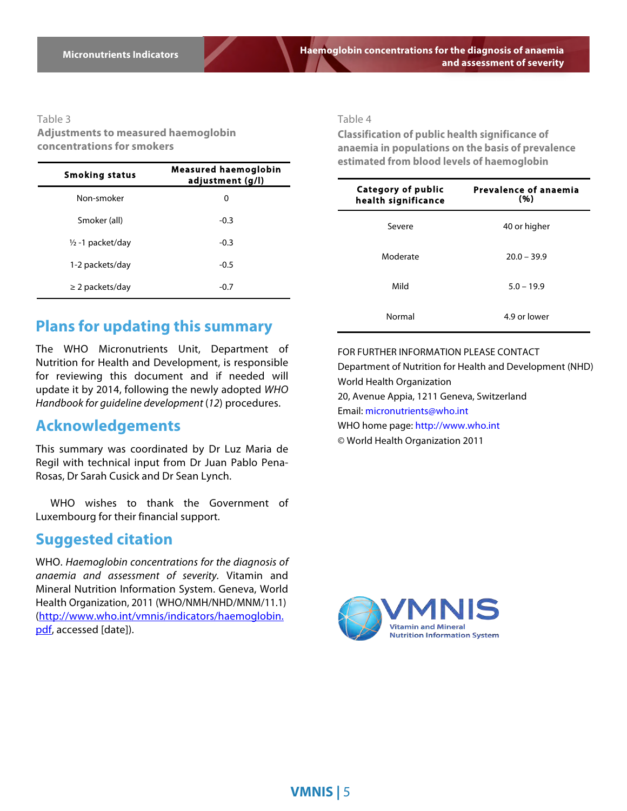**Haemoglobin concentrations for the diagnosis of anaemia and assessment of severity**

#### Table 3

**Adjustments to measured haemoglobin concentrations for smokers**

| Smoking status              | <b>Measured haemoglobin</b><br>adjustment (g/l) |  |
|-----------------------------|-------------------------------------------------|--|
| Non-smoker                  | 0                                               |  |
| Smoker (all)                | $-0.3$                                          |  |
| $\frac{1}{2}$ -1 packet/day | $-0.3$                                          |  |
| 1-2 packets/day             | $-0.5$                                          |  |
| $\geq$ 2 packets/day        | $-0.7$                                          |  |

### **Plans for updating this summary**

The WHO Micronutrients Unit, Department of Nutrition for Health and Development, is responsible for reviewing this document and if needed will update it by 2014, following the newly adopted *WHO Handbook for guideline development* (*12*) procedures.

### **Acknowledgements**

This summary was coordinated by Dr Luz Maria de Regil with technical input from Dr Juan Pablo Pena-Rosas, Dr Sarah Cusick and Dr Sean Lynch.

WHO wishes to thank the Government of Luxembourg for their financial support.

### **Suggested citation**

WHO. *Haemoglobin concentrations for the diagnosis of anaemia and assessment of severity.* Vitamin and Mineral Nutrition Information System. Geneva, World Health Organization, 2011 (WHO/NMH/NHD/MNM/11.1) (http://www.who.int/vmnis/indicators/haemoglobin. pdf, accessed [date]).

Table 4

**Classification of public health significance of anaemia in populations on the basis of prevalence estimated from blood levels of haemoglobin**

| Category of public<br>health significance | Prevalence of anaemia<br>(96) |
|-------------------------------------------|-------------------------------|
| Severe                                    | 40 or higher                  |
| Moderate                                  | $20.0 - 39.9$                 |
| Mild                                      | $5.0 - 19.9$                  |
| Normal                                    | 4.9 or lower                  |

FOR FURTHER INFORMATION PLEASE CONTACT Department of Nutrition for Health and Development (NHD) World Health Organization 20, Avenue Appia, 1211 Geneva, Switzerland Email: micronutrients@who.int WHO home page: http://www.who.int © World Health Organization 2011